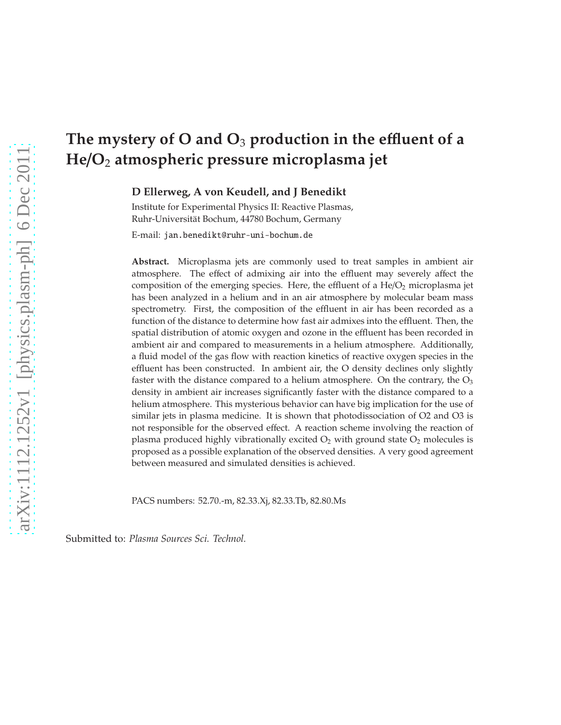# **The mystery of O and O**<sup>3</sup> **production in the e**ffl**uent of a He**/**O**<sup>2</sup> **atmospheric pressure microplasma jet**

**D Ellerweg, A von Keudell, and J Benedikt**

Institute for Experimental Physics II: Reactive Plasmas, Ruhr-Universität Bochum, 44780 Bochum, Germany

E-mail: jan.benedikt@ruhr-uni-bochum.de

**Abstract.** Microplasma jets are commonly used to treat samples in ambient air atmosphere. The effect of admixing air into the effluent may severely affect the composition of the emerging species. Here, the effluent of a  $He/O<sub>2</sub>$  microplasma jet has been analyzed in a helium and in an air atmosphere by molecular beam mass spectrometry. First, the composition of the effluent in air has been recorded as a function of the distance to determine how fast air admixes into the effluent. Then, the spatial distribution of atomic oxygen and ozone in the effluent has been recorded in ambient air and compared to measurements in a helium atmosphere. Additionally, a fluid model of the gas flow with reaction kinetics of reactive oxygen species in the effluent has been constructed. In ambient air, the O density declines only slightly faster with the distance compared to a helium atmosphere. On the contrary, the  $O_3$ density in ambient air increases significantly faster with the distance compared to a helium atmosphere. This mysterious behavior can have big implication for the use of similar jets in plasma medicine. It is shown that photodissociation of O2 and O3 is not responsible for the observed effect. A reaction scheme involving the reaction of plasma produced highly vibrationally excited  $O_2$  with ground state  $O_2$  molecules is proposed as a possible explanation of the observed densities. A very good agreement between measured and simulated densities is achieved.

PACS numbers: 52.70.-m, 82.33.Xj, 82.33.Tb, 82.80.Ms

Submitted to: *Plasma Sources Sci. Technol.*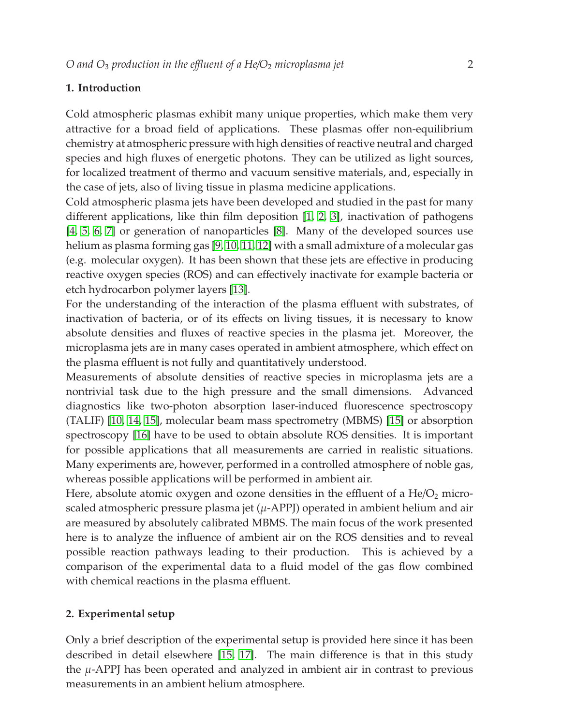# **1. Introduction**

Cold atmospheric plasmas exhibit many unique properties, which make them very attractive for a broad field of applications. These plasmas offer non-equilibrium chemistry at atmospheric pressure with high densities of reactive neutral and charged species and high fluxes of energetic photons. They can be utilized as light sources, for localized treatment of thermo and vacuum sensitive materials, and, especially in the case of jets, also of living tissue in plasma medicine applications.

Cold atmospheric plasma jets have been developed and studied in the past for many different applications, like thin film deposition [\[1,](#page-19-0) [2,](#page-19-1) [3\]](#page-19-2), inactivation of pathogens [\[4,](#page-19-3) [5,](#page-19-4) [6,](#page-19-5) [7\]](#page-19-6) or generation of nanoparticles [\[8\]](#page-19-7). Many of the developed sources use helium as plasma forming gas [\[9,](#page-19-8) [10,](#page-19-9) [11,](#page-19-10) [12\]](#page-19-11) with a small admixture of a molecular gas (e.g. molecular oxygen). It has been shown that these jets are effective in producing reactive oxygen species (ROS) and can effectively inactivate for example bacteria or etch hydrocarbon polymer layers [\[13\]](#page-19-12).

For the understanding of the interaction of the plasma effluent with substrates, of inactivation of bacteria, or of its effects on living tissues, it is necessary to know absolute densities and fluxes of reactive species in the plasma jet. Moreover, the microplasma jets are in many cases operated in ambient atmosphere, which effect on the plasma effluent is not fully and quantitatively understood.

Measurements of absolute densities of reactive species in microplasma jets are a nontrivial task due to the high pressure and the small dimensions. Advanced diagnostics like two-photon absorption laser-induced fluorescence spectroscopy (TALIF) [\[10,](#page-19-9) [14,](#page-20-0) [15\]](#page-20-1), molecular beam mass spectrometry (MBMS) [\[15\]](#page-20-1) or absorption spectroscopy [\[16\]](#page-20-2) have to be used to obtain absolute ROS densities. It is important for possible applications that all measurements are carried in realistic situations. Many experiments are, however, performed in a controlled atmosphere of noble gas, whereas possible applications will be performed in ambient air.

Here, absolute atomic oxygen and ozone densities in the effluent of a  $\text{He/O}_2$  microscaled atmospheric pressure plasma jet  $(\mu$ -APPJ) operated in ambient helium and air are measured by absolutely calibrated MBMS. The main focus of the work presented here is to analyze the influence of ambient air on the ROS densities and to reveal possible reaction pathways leading to their production. This is achieved by a comparison of the experimental data to a fluid model of the gas flow combined with chemical reactions in the plasma effluent.

# **2. Experimental setup**

Only a brief description of the experimental setup is provided here since it has been described in detail elsewhere [\[15,](#page-20-1) [17\]](#page-20-3). The main difference is that in this study the  $\mu$ -APPJ has been operated and analyzed in ambient air in contrast to previous measurements in an ambient helium atmosphere.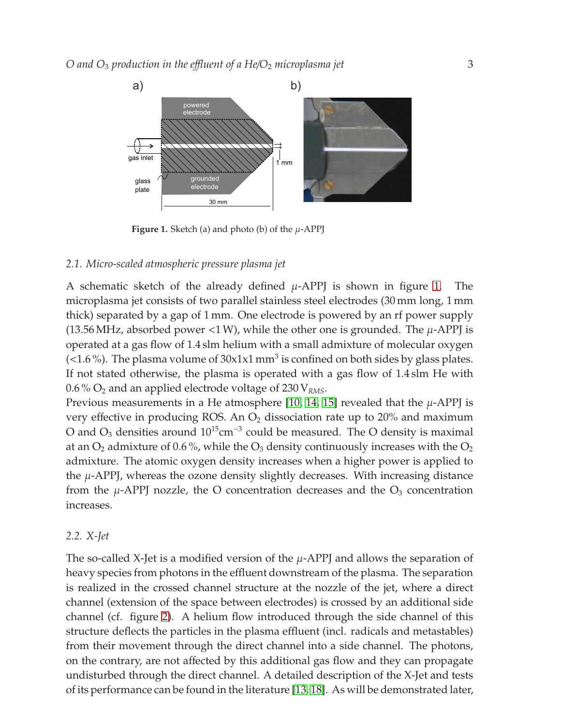

<span id="page-2-0"></span>**Figure 1.** Sketch (a) and photo (b) of the  $\mu$ -APPJ

### *2.1. Micro-scaled atmospheric pressure plasma jet*

A schematic sketch of the already defined  $\mu$ -APPJ is shown in figure [1.](#page-2-0) The microplasma jet consists of two parallel stainless steel electrodes (30 mm long, 1 mm thick) separated by a gap of 1 mm. One electrode is powered by an rf power supply (13.56 MHz, absorbed power <1 W), while the other one is grounded. The  $\mu$ -APPJ is operated at a gas flow of 1.4 slm helium with a small admixture of molecular oxygen  $($  < 1.6 %). The plasma volume of 30x1x1 mm<sup>3</sup> is confined on both sides by glass plates. If not stated otherwise, the plasma is operated with a gas flow of 1.4 slm He with 0.6 % O<sup>2</sup> and an applied electrode voltage of 230 V*RMS*.

Previous measurements in a He atmosphere [\[10,](#page-19-9) [14,](#page-20-0) [15\]](#page-20-1) revealed that the  $\mu$ -APPJ is very effective in producing ROS. An  $O_2$  dissociation rate up to 20% and maximum O and  $O_3$  densities around  $10^{15}$ cm<sup>-3</sup> could be measured. The O density is maximal at an  $O_2$  admixture of 0.6%, while the  $O_3$  density continuously increases with the  $O_2$ admixture. The atomic oxygen density increases when a higher power is applied to the  $\mu$ -APPJ, whereas the ozone density slightly decreases. With increasing distance from the  $\mu$ -APPJ nozzle, the O concentration decreases and the  $O_3$  concentration increases.

#### *2.2. X-Jet*

The so-called X-Jet is a modified version of the  $\mu$ -APPJ and allows the separation of heavy species from photons in the effluent downstream of the plasma. The separation is realized in the crossed channel structure at the nozzle of the jet, where a direct channel (extension of the space between electrodes) is crossed by an additional side channel (cf. figure [2\)](#page-3-0). A helium flow introduced through the side channel of this structure deflects the particles in the plasma effluent (incl. radicals and metastables) from their movement through the direct channel into a side channel. The photons, on the contrary, are not affected by this additional gas flow and they can propagate undisturbed through the direct channel. A detailed description of the X-Jet and tests of its performance can be found in the literature [\[13,](#page-19-12) [18\]](#page-20-4). As will be demonstrated later,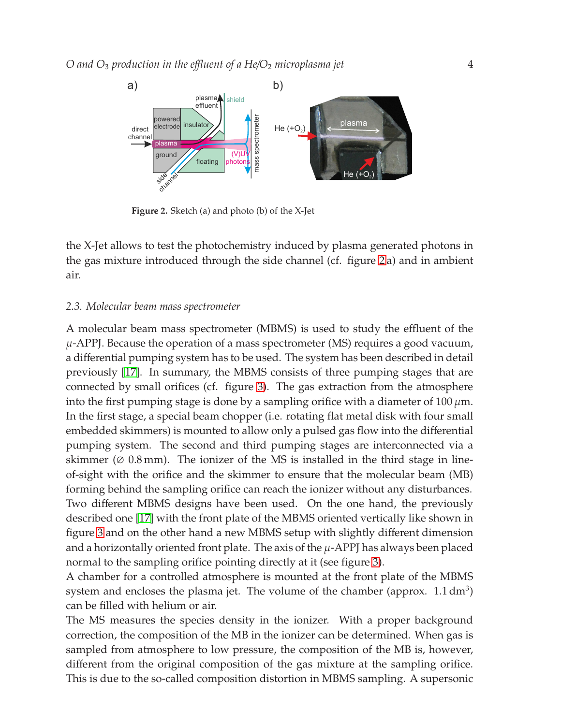

<span id="page-3-0"></span>**Figure 2.** Sketch (a) and photo (b) of the X-Jet

the X-Jet allows to test the photochemistry induced by plasma generated photons in the gas mixture introduced through the side channel (cf. figure [2](#page-3-0) a) and in ambient air.

## *2.3. Molecular beam mass spectrometer*

A molecular beam mass spectrometer (MBMS) is used to study the effluent of the  $\mu$ -APPJ. Because the operation of a mass spectrometer (MS) requires a good vacuum, a differential pumping system has to be used. The system has been described in detail previously [\[17\]](#page-20-3). In summary, the MBMS consists of three pumping stages that are connected by small orifices (cf. figure [3\)](#page-4-0). The gas extraction from the atmosphere into the first pumping stage is done by a sampling orifice with a diameter of 100  $\mu$ m. In the first stage, a special beam chopper (i.e. rotating flat metal disk with four small embedded skimmers) is mounted to allow only a pulsed gas flow into the differential pumping system. The second and third pumping stages are interconnected via a skimmer ( $\varnothing$  0.8 mm). The ionizer of the MS is installed in the third stage in lineof-sight with the orifice and the skimmer to ensure that the molecular beam (MB) forming behind the sampling orifice can reach the ionizer without any disturbances. Two different MBMS designs have been used. On the one hand, the previously described one [\[17\]](#page-20-3) with the front plate of the MBMS oriented vertically like shown in figure [3](#page-4-0) and on the other hand a new MBMS setup with slightly different dimension and a horizontally oriented front plate. The axis of the  $\mu$ -APPJ has always been placed normal to the sampling orifice pointing directly at it (see figure [3\)](#page-4-0).

A chamber for a controlled atmosphere is mounted at the front plate of the MBMS system and encloses the plasma jet. The volume of the chamber (approx.  $1.1 \text{ dm}^3$ ) can be filled with helium or air.

The MS measures the species density in the ionizer. With a proper background correction, the composition of the MB in the ionizer can be determined. When gas is sampled from atmosphere to low pressure, the composition of the MB is, however, different from the original composition of the gas mixture at the sampling orifice. This is due to the so-called composition distortion in MBMS sampling. A supersonic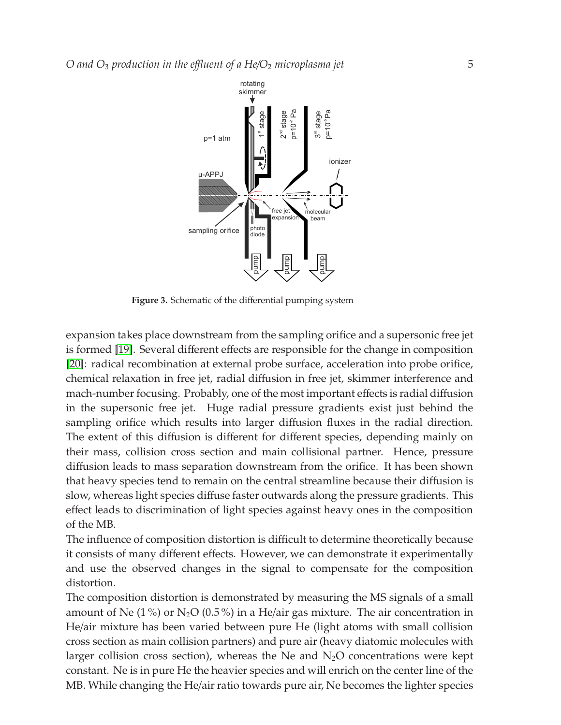

<span id="page-4-0"></span>**Figure 3.** Schematic of the differential pumping system

expansion takes place downstream from the sampling orifice and a supersonic free jet is formed [\[19\]](#page-20-5). Several different effects are responsible for the change in composition [\[20\]](#page-20-6): radical recombination at external probe surface, acceleration into probe orifice, chemical relaxation in free jet, radial diffusion in free jet, skimmer interference and mach-number focusing. Probably, one of the most important effects is radial diffusion in the supersonic free jet. Huge radial pressure gradients exist just behind the sampling orifice which results into larger diffusion fluxes in the radial direction. The extent of this diffusion is different for different species, depending mainly on their mass, collision cross section and main collisional partner. Hence, pressure diffusion leads to mass separation downstream from the orifice. It has been shown that heavy species tend to remain on the central streamline because their diffusion is slow, whereas light species diffuse faster outwards along the pressure gradients. This effect leads to discrimination of light species against heavy ones in the composition of the MB.

The influence of composition distortion is difficult to determine theoretically because it consists of many different effects. However, we can demonstrate it experimentally and use the observed changes in the signal to compensate for the composition distortion.

The composition distortion is demonstrated by measuring the MS signals of a small amount of Ne  $(1\%)$  or N<sub>2</sub>O  $(0.5\%)$  in a He/air gas mixture. The air concentration in He/air mixture has been varied between pure He (light atoms with small collision cross section as main collision partners) and pure air (heavy diatomic molecules with larger collision cross section), whereas the Ne and  $N_2O$  concentrations were kept constant. Ne is in pure He the heavier species and will enrich on the center line of the MB. While changing the He/air ratio towards pure air, Ne becomes the lighter species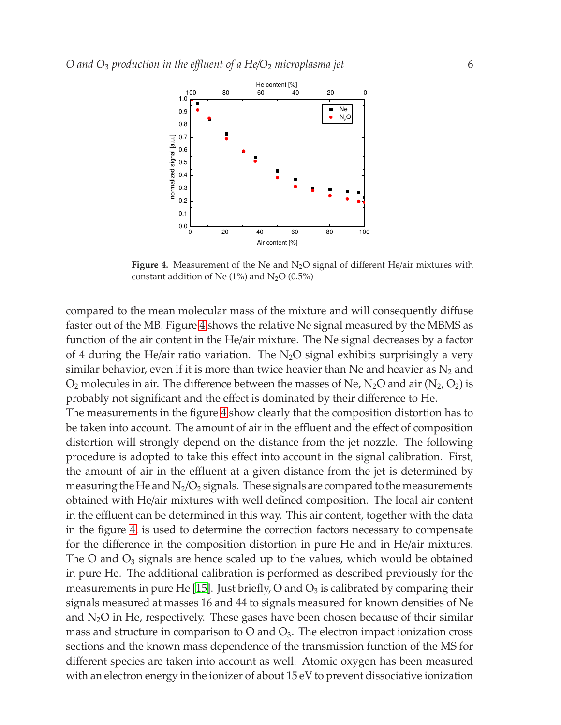

<span id="page-5-0"></span>**Figure 4.** Measurement of the Ne and  $N_2O$  signal of different He/air mixtures with constant addition of Ne  $(1%)$  and N<sub>2</sub>O  $(0.5%)$ 

compared to the mean molecular mass of the mixture and will consequently diffuse faster out of the MB. Figure [4](#page-5-0) shows the relative Ne signal measured by the MBMS as function of the air content in the He/air mixture. The Ne signal decreases by a factor of 4 during the He/air ratio variation. The  $N_2O$  signal exhibits surprisingly a very similar behavior, even if it is more than twice heavier than Ne and heavier as  $N_2$  and  $O_2$  molecules in air. The difference between the masses of Ne, N<sub>2</sub>O and air (N<sub>2</sub>, O<sub>2</sub>) is probably not significant and the effect is dominated by their difference to He.

The measurements in the figure [4](#page-5-0) show clearly that the composition distortion has to be taken into account. The amount of air in the effluent and the effect of composition distortion will strongly depend on the distance from the jet nozzle. The following procedure is adopted to take this effect into account in the signal calibration. First, the amount of air in the effluent at a given distance from the jet is determined by measuring the He and  $N_2/O_2$  signals. These signals are compared to the measurements obtained with He/air mixtures with well defined composition. The local air content in the effluent can be determined in this way. This air content, together with the data in the figure [4,](#page-5-0) is used to determine the correction factors necessary to compensate for the difference in the composition distortion in pure He and in He/air mixtures. The O and  $O_3$  signals are hence scaled up to the values, which would be obtained in pure He. The additional calibration is performed as described previously for the measurements in pure He [\[15\]](#page-20-1). Just briefly, O and  $O_3$  is calibrated by comparing their signals measured at masses 16 and 44 to signals measured for known densities of Ne and  $N_2O$  in He, respectively. These gases have been chosen because of their similar mass and structure in comparison to  $O$  and  $O_3$ . The electron impact ionization cross sections and the known mass dependence of the transmission function of the MS for different species are taken into account as well. Atomic oxygen has been measured with an electron energy in the ionizer of about 15 eV to prevent dissociative ionization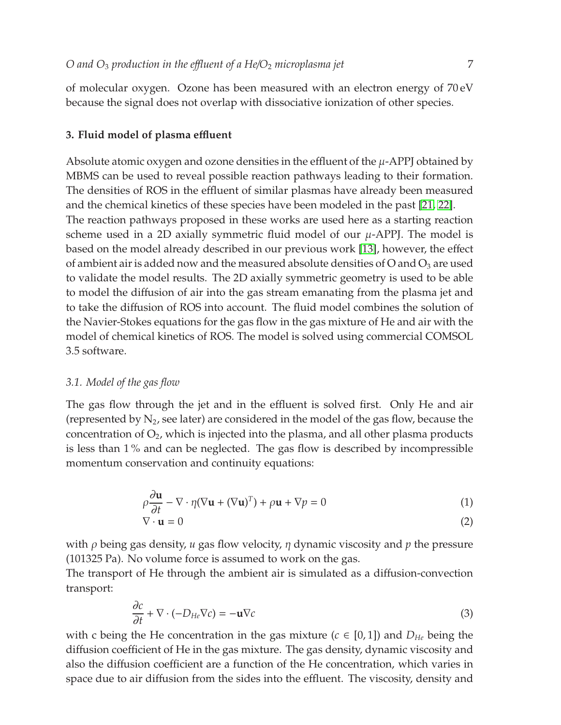of molecular oxygen. Ozone has been measured with an electron energy of 70 eV because the signal does not overlap with dissociative ionization of other species.

## **3. Fluid model of plasma e**ffl**uent**

Absolute atomic oxygen and ozone densities in the effluent of the  $\mu$ -APPJ obtained by MBMS can be used to reveal possible reaction pathways leading to their formation. The densities of ROS in the effluent of similar plasmas have already been measured and the chemical kinetics of these species have been modeled in the past [\[21,](#page-20-7) [22\]](#page-20-8). The reaction pathways proposed in these works are used here as a starting reaction scheme used in a 2D axially symmetric fluid model of our  $\mu$ -APPJ. The model is based on the model already described in our previous work [\[13\]](#page-19-12), however, the effect of ambient air is added now and the measured absolute densities of O and  $O_3$  are used to validate the model results. The 2D axially symmetric geometry is used to be able to model the diffusion of air into the gas stream emanating from the plasma jet and to take the diffusion of ROS into account. The fluid model combines the solution of the Navier-Stokes equations for the gas flow in the gas mixture of He and air with the model of chemical kinetics of ROS. The model is solved using commercial COMSOL 3.5 software.

## *3.1. Model of the gas flow*

The gas flow through the jet and in the effluent is solved first. Only He and air (represented by  $N_2$ , see later) are considered in the model of the gas flow, because the concentration of  $O_2$ , which is injected into the plasma, and all other plasma products is less than 1 % and can be neglected. The gas flow is described by incompressible momentum conservation and continuity equations:

$$
\rho \frac{\partial \mathbf{u}}{\partial t} - \nabla \cdot \eta (\nabla \mathbf{u} + (\nabla \mathbf{u})^T) + \rho \mathbf{u} + \nabla p = 0
$$
\n(1)

$$
\nabla \cdot \mathbf{u} = 0 \tag{2}
$$

with ρ being gas density, *u* gas flow velocity, η dynamic viscosity and *p* the pressure (101325 Pa). No volume force is assumed to work on the gas.

The transport of He through the ambient air is simulated as a diffusion-convection transport:

$$
\frac{\partial c}{\partial t} + \nabla \cdot (-D_{He}\nabla c) = -\mathbf{u}\nabla c \tag{3}
$$

with c being the He concentration in the gas mixture ( $c \in [0,1]$ ) and  $D_{He}$  being the diffusion coefficient of He in the gas mixture. The gas density, dynamic viscosity and also the diffusion coefficient are a function of the He concentration, which varies in space due to air diffusion from the sides into the effluent. The viscosity, density and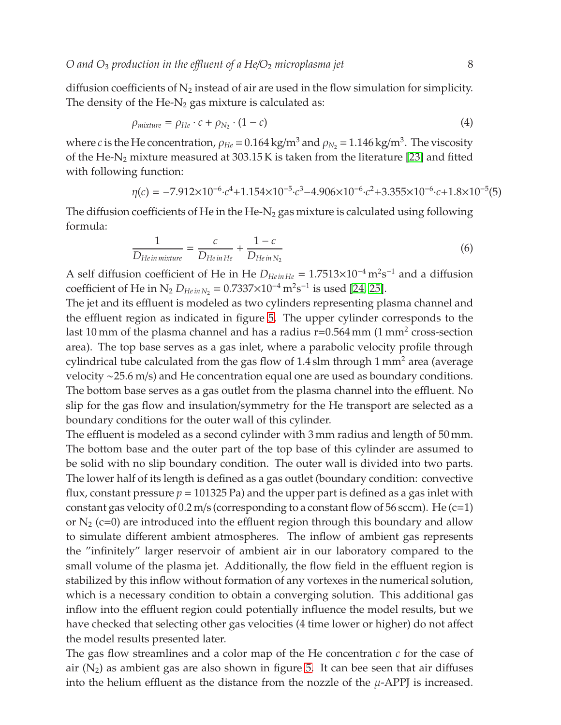diffusion coefficients of  $N_2$  instead of air are used in the flow simulation for simplicity. The density of the He- $N_2$  gas mixture is calculated as:

$$
\rho_{mixture} = \rho_{He} \cdot c + \rho_{N_2} \cdot (1 - c) \tag{4}
$$

where *c* is the He concentration,  $\rho_{He}$  =  $0.164\,\mathrm{kg/m^3}$  and  $\rho_{N_2}$  =  $1.146\,\mathrm{kg/m^3}$ . The viscosity of the He-N<sub>2</sub> mixture measured at 303.15 K is taken from the literature [\[23\]](#page-20-9) and fitted with following function:

$$
\eta(c) = -7.912 \times 10^{-6} \cdot c^4 + 1.154 \times 10^{-5} \cdot c^3 - 4.906 \times 10^{-6} \cdot c^2 + 3.355 \times 10^{-6} \cdot c + 1.8 \times 10^{-5}(5)
$$

The diffusion coefficients of He in the He-N<sub>2</sub> gas mixture is calculated using following formula:

<span id="page-7-0"></span>
$$
\frac{1}{D_{He\,in\,mixture}} = \frac{c}{D_{He\,in\,He}} + \frac{1-c}{D_{He\,in\,N_2}}
$$
(6)

A self diffusion coefficient of He in He  $D_{HeinHe} = 1.7513 \times 10^{-4} \text{ m}^2 \text{s}^{-1}$  and a diffusion coefficient of He in  $N_2 D_{HeinN_2} = 0.7337 \times 10^{-4} \,\mathrm{m}^2 \mathrm{s}^{-1}$  is used [\[24,](#page-20-10) [25\]](#page-20-11).

The jet and its effluent is modeled as two cylinders representing plasma channel and the effluent region as indicated in figure [5.](#page-8-0) The upper cylinder corresponds to the last 10 mm of the plasma channel and has a radius r=0.564 mm (1 mm<sup>2</sup> cross-section area). The top base serves as a gas inlet, where a parabolic velocity profile through cylindrical tube calculated from the gas flow of  $1.4 \text{ s}$ lm through 1 mm<sup>2</sup> area (average velocity ∼25.6 m/s) and He concentration equal one are used as boundary conditions. The bottom base serves as a gas outlet from the plasma channel into the effluent. No slip for the gas flow and insulation/symmetry for the He transport are selected as a boundary conditions for the outer wall of this cylinder.

The effluent is modeled as a second cylinder with 3 mm radius and length of 50 mm. The bottom base and the outer part of the top base of this cylinder are assumed to be solid with no slip boundary condition. The outer wall is divided into two parts. The lower half of its length is defined as a gas outlet (boundary condition: convective flux, constant pressure  $p = 101325$  Pa) and the upper part is defined as a gas inlet with constant gas velocity of  $0.2$  m/s (corresponding to a constant flow of  $56$  sccm). He (c=1) or  $N_2$  (c=0) are introduced into the effluent region through this boundary and allow to simulate different ambient atmospheres. The inflow of ambient gas represents the "infinitely" larger reservoir of ambient air in our laboratory compared to the small volume of the plasma jet. Additionally, the flow field in the effluent region is stabilized by this inflow without formation of any vortexes in the numerical solution, which is a necessary condition to obtain a converging solution. This additional gas inflow into the effluent region could potentially influence the model results, but we have checked that selecting other gas velocities (4 time lower or higher) do not affect the model results presented later.

The gas flow streamlines and a color map of the He concentration *c* for the case of air  $(N_2)$  as ambient gas are also shown in figure [5.](#page-8-0) It can bee seen that air diffuses into the helium effluent as the distance from the nozzle of the  $\mu$ -APPJ is increased.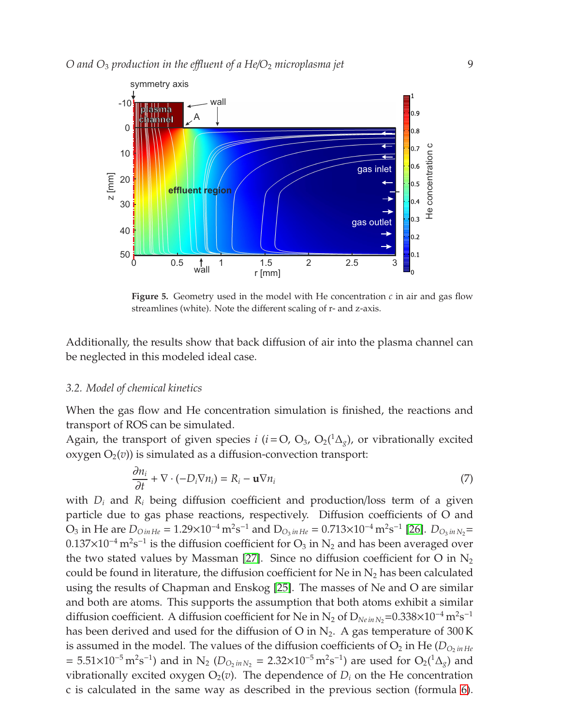

<span id="page-8-0"></span>**Figure 5.** Geometry used in the model with He concentration  $c$  in air and gas flow streamlines (white). Note the different scaling of r- and z-axis.

Additionally, the results show that back diffusion of air into the plasma channel can be neglected in this modeled ideal case.

#### *3.2. Model of chemical kinetics*

When the gas flow and He concentration simulation is finished, the reactions and transport of ROS can be simulated.

Again, the transport of given species *i* (*i* = O, O<sub>3</sub>, O<sub>2</sub>( ${}^{1}\Delta_{g}$ ), or vibrationally excited  $oxygen O<sub>2</sub>(v)$ ) is simulated as a diffusion-convection transport:

$$
\frac{\partial n_i}{\partial t} + \nabla \cdot (-D_i \nabla n_i) = R_i - \mathbf{u} \nabla n_i \tag{7}
$$

with *D<sup>i</sup>* and *R<sup>i</sup>* being diffusion coefficient and production/loss term of a given particle due to gas phase reactions, respectively. Diffusion coefficients of O and  $O_3$  in He are  $D_{OinHe} = 1.29 \times 10^{-4} \text{ m}^2 \text{s}^{-1}$  and  $D_{O_3inHe} = 0.713 \times 10^{-4} \text{ m}^2 \text{s}^{-1}$  [\[26\]](#page-20-12).  $D_{O_3inN_2} =$  $0.137\times10^{-4}\,\text{m}^2\text{s}^{-1}$  is the diffusion coefficient for  $\text{O}_3$  in  $\text{N}_2$  and has been averaged over the two stated values by Massman [\[27\]](#page-20-13). Since no diffusion coefficient for O in  $N_2$ could be found in literature, the diffusion coefficient for Ne in  $N_2$  has been calculated using the results of Chapman and Enskog [\[25\]](#page-20-11). The masses of Ne and O are similar and both are atoms. This supports the assumption that both atoms exhibit a similar diffusion coefficient. A diffusion coefficient for Ne in N<sub>2</sub> of  $D_{Ne\,in\,N_2}=0.338\times10^{-4}$  m<sup>2</sup>s<sup>-1</sup> has been derived and used for the diffusion of O in  $N_2$ . A gas temperature of 300 K is assumed in the model. The values of the diffusion coefficients of  $O_2$  in He ( $D_{O_2 \text{ in } He}$  $= 5.51 \times 10^{-5} \text{ m}^2 \text{s}^{-1}$ ) and in N<sub>2</sub> (*D*<sub>*O*2*inN*<sub>2</sub> = 2.32×10<sup>-5</sup> m<sup>2</sup>s<sup>-1</sup>) are used for O<sub>2</sub>(<sup>1</sup>∆<sub>*g*</sub>) and</sub> vibrationally excited oxygen  $O_2(v)$ . The dependence of  $D_i$  on the He concentration c is calculated in the same way as described in the previous section (formula [6\)](#page-7-0).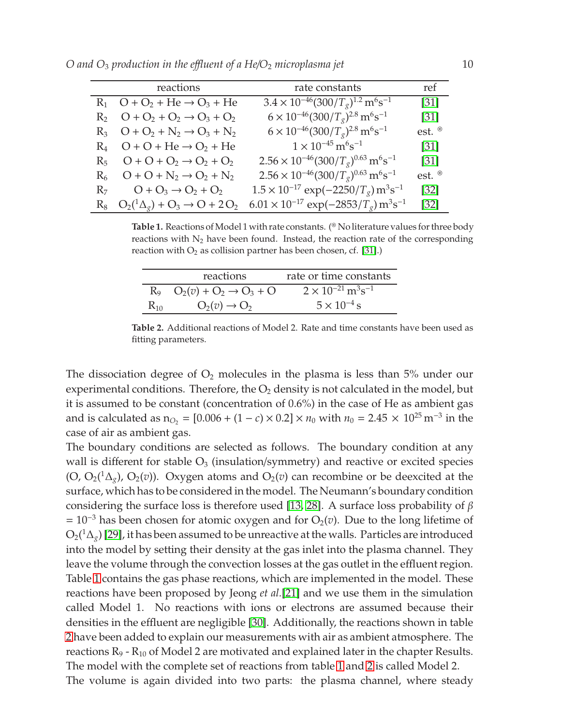*O* and O<sub>3</sub> production in the effluent of a He/O<sub>2</sub> microplasma jet 10

| reactions                                                       | rate constants                                                                  | ref                |
|-----------------------------------------------------------------|---------------------------------------------------------------------------------|--------------------|
| $R_1$ O + O <sub>2</sub> + He $\rightarrow$ O <sub>3</sub> + He | $3.4 \times 10^{-46} (300/T_g)^{1.2} \text{ m}^6 \text{s}^{-1}$                 | $\left[31\right]$  |
| $R_2$ $Q + Q_2 + Q_2 \rightarrow Q_3 + Q_2$                     | $6 \times 10^{-46} (300/T_g)^{2.8} \,\text{m}^6\text{s}^{-1}$                   | $[31]$             |
| $R_3$ $O + O_2 + N_2 \rightarrow O_3 + N_2$                     | $6 \times 10^{-46} (300/T_g)^{2.8} \,\text{m}^6 \text{s}^{-1}$                  | est. $\mathscr{E}$ |
| $R_4$ O + O + He $\rightarrow$ O <sub>2</sub> + He              | $1 \times 10^{-45} \,\mathrm{m}^6 \mathrm{s}^{-1}$                              | $\left[31\right]$  |
| $R_5$ $Q + Q + Q_2 \rightarrow Q_2 + Q_2$                       | $2.56 \times 10^{-46} (300/T_g)^{0.63} \,\text{m}^6\text{s}^{-1}$               | $[31]$             |
| $R_6$ $Q + Q + N_2 \rightarrow Q_2 + N_2$                       | $2.56 \times 10^{-46} (300/T_g)^{0.63} \,\text{m}^6\text{s}^{-1}$               | est. $\mathscr{B}$ |
| $R_7$ $Q + Q_3 \rightarrow Q_2 + Q_2$                           | $1.5 \times 10^{-17}$ exp(-2250/T <sub>g</sub> ) m <sup>3</sup> s <sup>-1</sup> | $[32]$             |
| $R_8$ $Q_2(^1\Delta_g) + Q_3 \rightarrow Q_1 + 2Q_2$            | $6.01 \times 10^{-17}$ exp( $-2853/T_g$ ) m <sup>3</sup> s <sup>-1</sup>        | $[32]$             |

<span id="page-9-0"></span>**Table 1.** Reactions of Model 1 with rate constants. (<sup>⊛</sup> No literature values for three body reactions with  $N_2$  have been found. Instead, the reaction rate of the corresponding reaction with  $O_2$  as collision partner has been chosen, cf. [\[31\]](#page-20-14).)

|          | reactions                                | rate or time constants                             |
|----------|------------------------------------------|----------------------------------------------------|
|          | $R_9$ $Q_2(v) + Q_2 \rightarrow Q_3 + Q$ | $2 \times 10^{-21}$ m <sup>3</sup> s <sup>-1</sup> |
| $R_{10}$ | $O_2(v) \rightarrow O_2$                 | $5 \times 10^{-4}$ s                               |

<span id="page-9-1"></span>**Table 2.** Additional reactions of Model 2. Rate and time constants have been used as fitting parameters.

The dissociation degree of  $O_2$  molecules in the plasma is less than 5% under our experimental conditions. Therefore, the  $O_2$  density is not calculated in the model, but it is assumed to be constant (concentration of 0.6%) in the case of He as ambient gas and is calculated as  $n_{O_2} = [0.006 + (1 - c) \times 0.2] \times n_0$  with  $n_0 = 2.45 \times 10^{25}$  m<sup>-3</sup> in the case of air as ambient gas.

The boundary conditions are selected as follows. The boundary condition at any wall is different for stable  $O_3$  (insulation/symmetry) and reactive or excited species (O,  $O_2(^1\Delta_g)$ ,  $O_2(v)$ ). Oxygen atoms and  $O_2(v)$  can recombine or be deexcited at the surface, which has to be considered in the model. The Neumann's boundary condition considering the surface loss is therefore used [\[13,](#page-19-12) [28\]](#page-20-16). A surface loss probability of  $\beta$  $= 10^{-3}$  has been chosen for atomic oxygen and for O<sub>2</sub>(*v*). Due to the long lifetime of  $\mathrm{O_{2}(^{1}\Delta_{g})}$  [\[29\]](#page-20-17), it has been assumed to be unreactive at the walls. Particles are introduced into the model by setting their density at the gas inlet into the plasma channel. They leave the volume through the convection losses at the gas outlet in the effluent region. Table [1](#page-9-0) contains the gas phase reactions, which are implemented in the model. These reactions have been proposed by Jeong *et al.*[\[21\]](#page-20-7) and we use them in the simulation called Model 1. No reactions with ions or electrons are assumed because their densities in the effluent are negligible [\[30\]](#page-20-18). Additionally, the reactions shown in table [2](#page-9-1) have been added to explain our measurements with air as ambient atmosphere. The reactions  $R_9$  -  $R_{10}$  of Model 2 are motivated and explained later in the chapter Results. The model with the complete set of reactions from table [1](#page-9-0) and [2](#page-9-1) is called Model 2. The volume is again divided into two parts: the plasma channel, where steady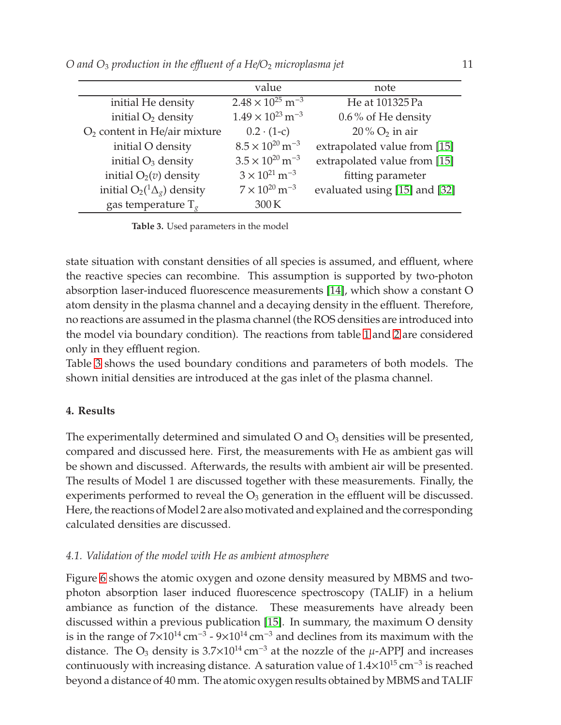|                                          | value                                 | note                          |
|------------------------------------------|---------------------------------------|-------------------------------|
| initial He density                       | $2.48 \times 10^{25}$ m <sup>-3</sup> | He at 101325 Pa               |
| initial $O_2$ density                    | $1.49 \times 10^{23}$ m <sup>-3</sup> | 0.6% of He density            |
| O <sub>2</sub> content in He/air mixture | $0.2 \cdot (1-c)$                     | $20\%$ O <sub>2</sub> in air  |
| initial O density                        | $8.5 \times 10^{20}$ m <sup>-3</sup>  | extrapolated value from [15]  |
| initial $O_3$ density                    | $3.5 \times 10^{20}$ m <sup>-3</sup>  | extrapolated value from [15]  |
| initial $O_2(v)$ density                 | $3 \times 10^{21}$ m <sup>-3</sup>    | fitting parameter             |
| initial $O_2(^1\Delta_g)$ density        | $7 \times 10^{20}$ m <sup>-3</sup>    | evaluated using [15] and [32] |
| gas temperature $T_g$                    | 300K                                  |                               |

<span id="page-10-0"></span>**Table 3.** Used parameters in the model

state situation with constant densities of all species is assumed, and effluent, where the reactive species can recombine. This assumption is supported by two-photon absorption laser-induced fluorescence measurements [\[14\]](#page-20-0), which show a constant O atom density in the plasma channel and a decaying density in the effluent. Therefore, no reactions are assumed in the plasma channel (the ROS densities are introduced into the model via boundary condition). The reactions from table [1](#page-9-0) and [2](#page-9-1) are considered only in they effluent region.

Table [3](#page-10-0) shows the used boundary conditions and parameters of both models. The shown initial densities are introduced at the gas inlet of the plasma channel.

# **4. Results**

The experimentally determined and simulated  $O$  and  $O_3$  densities will be presented, compared and discussed here. First, the measurements with He as ambient gas will be shown and discussed. Afterwards, the results with ambient air will be presented. The results of Model 1 are discussed together with these measurements. Finally, the experiments performed to reveal the  $O_3$  generation in the effluent will be discussed. Here, the reactions of Model 2 are also motivated and explained and the corresponding calculated densities are discussed.

### *4.1. Validation of the model with He as ambient atmosphere*

Figure [6](#page-11-0) shows the atomic oxygen and ozone density measured by MBMS and twophoton absorption laser induced fluorescence spectroscopy (TALIF) in a helium ambiance as function of the distance. These measurements have already been discussed within a previous publication [\[15\]](#page-20-1). In summary, the maximum O density is in the range of  $7\times10^{14}$  cm<sup>-3</sup> -  $9\times10^{14}$  cm<sup>-3</sup> and declines from its maximum with the distance. The O<sub>3</sub> density is  $3.7\times10^{14}$  cm<sup>-3</sup> at the nozzle of the  $\mu$ -APPJ and increases continuously with increasing distance. A saturation value of  $1.4\times10^{15}$  cm<sup>-3</sup> is reached beyond a distance of 40 mm. The atomic oxygen results obtained by MBMS and TALIF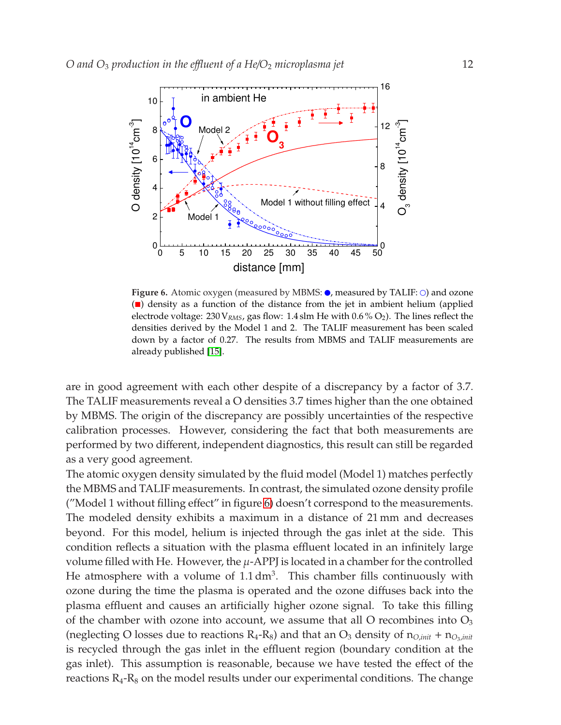

<span id="page-11-0"></span>**Figure 6.** Atomic oxygen (measured by MBMS:  $\bullet$ , measured by TALIF:  $\circ$ ) and ozone ( $\Box$ ) density as a function of the distance from the jet in ambient helium (applied electrode voltage:  $230 \text{V}_{RMS}$ , gas flow: 1.4 slm He with  $0.6\%$  O<sub>2</sub>). The lines reflect the densities derived by the Model 1 and 2. The TALIF measurement has been scaled down by a factor of 0.27. The results from MBMS and TALIF measurements are already published [\[15\]](#page-20-1).

are in good agreement with each other despite of a discrepancy by a factor of 3.7. The TALIF measurements reveal a O densities 3.7 times higher than the one obtained by MBMS. The origin of the discrepancy are possibly uncertainties of the respective calibration processes. However, considering the fact that both measurements are performed by two different, independent diagnostics, this result can still be regarded as a very good agreement.

The atomic oxygen density simulated by the fluid model (Model 1) matches perfectly the MBMS and TALIF measurements. In contrast, the simulated ozone density profile ("Model 1 without filling effect" in figure [6\)](#page-11-0) doesn't correspond to the measurements. The modeled density exhibits a maximum in a distance of 21 mm and decreases beyond. For this model, helium is injected through the gas inlet at the side. This condition reflects a situation with the plasma effluent located in an infinitely large volume filled with He. However, the  $\mu$ -APPJ is located in a chamber for the controlled He atmosphere with a volume of  $1.1 \text{ dm}^3$ . This chamber fills continuously with ozone during the time the plasma is operated and the ozone diffuses back into the plasma effluent and causes an artificially higher ozone signal. To take this filling of the chamber with ozone into account, we assume that all O recombines into  $O_3$ (neglecting O losses due to reactions  $R_4-R_8$ ) and that an  $O_3$  density of  $n_{O,init} + n_{O_3,init}$ is recycled through the gas inlet in the effluent region (boundary condition at the gas inlet). This assumption is reasonable, because we have tested the effect of the reactions  $R_4$ - $R_8$  on the model results under our experimental conditions. The change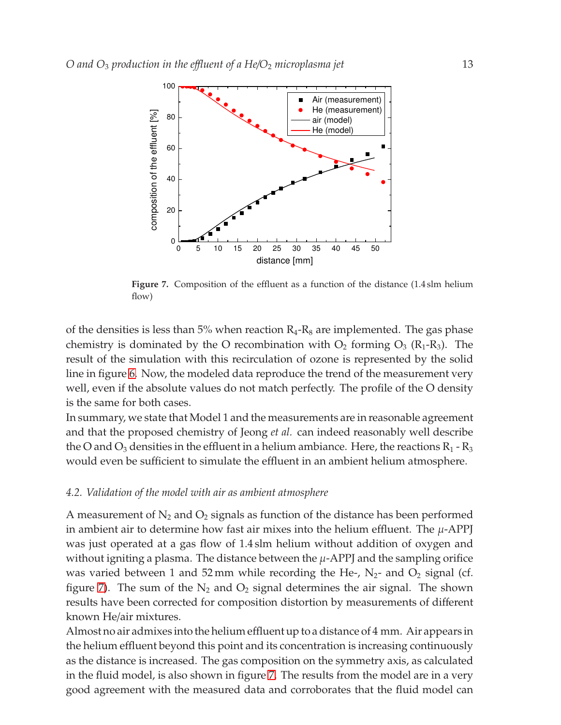

<span id="page-12-0"></span>**Figure 7.** Composition of the effluent as a function of the distance (1.4 slm helium flow)

of the densities is less than 5% when reaction  $R_4-R_8$  are implemented. The gas phase chemistry is dominated by the O recombination with  $O_2$  forming  $O_3$  ( $R_1-R_3$ ). The result of the simulation with this recirculation of ozone is represented by the solid line in figure [6.](#page-11-0) Now, the modeled data reproduce the trend of the measurement very well, even if the absolute values do not match perfectly. The profile of the O density is the same for both cases.

In summary, we state that Model 1 and the measurements are in reasonable agreement and that the proposed chemistry of Jeong *et al.* can indeed reasonably well describe the O and  $O_3$  densities in the effluent in a helium ambiance. Here, the reactions  $R_1$  -  $R_3$ would even be sufficient to simulate the effluent in an ambient helium atmosphere.

#### *4.2. Validation of the model with air as ambient atmosphere*

A measurement of  $N_2$  and  $O_2$  signals as function of the distance has been performed in ambient air to determine how fast air mixes into the helium effluent. The  $\mu$ -APPJ was just operated at a gas flow of 1.4 slm helium without addition of oxygen and without igniting a plasma. The distance between the  $\mu$ -APPJ and the sampling orifice was varied between 1 and 52 mm while recording the He-,  $N_2$ - and  $O_2$  signal (cf. figure [7\)](#page-12-0). The sum of the  $N_2$  and  $O_2$  signal determines the air signal. The shown results have been corrected for composition distortion by measurements of different known He/air mixtures.

Almost no air admixes into the helium effluent up to a distance of 4 mm. Air appears in the helium effluent beyond this point and its concentration is increasing continuously as the distance is increased. The gas composition on the symmetry axis, as calculated in the fluid model, is also shown in figure [7.](#page-12-0) The results from the model are in a very good agreement with the measured data and corroborates that the fluid model can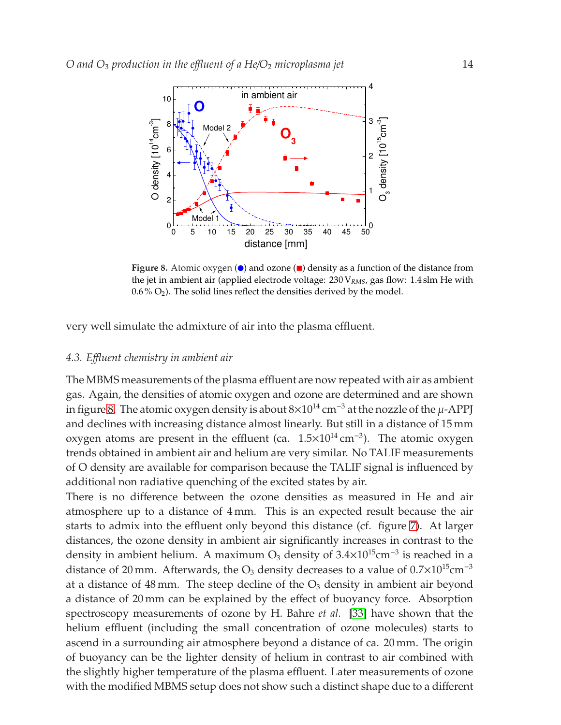

<span id="page-13-0"></span>**Figure 8.** Atomic oxygen  $\odot$  and ozone  $\Box$  density as a function of the distance from the jet in ambient air (applied electrode voltage: 230 V*RMS*, gas flow: 1.4 slm He with  $0.6\%$   $O_2$ ). The solid lines reflect the densities derived by the model.

very well simulate the admixture of air into the plasma effluent.

#### *4.3. E*ffl*uent chemistry in ambient air*

The MBMS measurements of the plasma effluent are now repeated with air as ambient gas. Again, the densities of atomic oxygen and ozone are determined and are shown in figure [8.](#page-13-0) The atomic oxygen density is about  $8\times10^{14}$  cm<sup>-3</sup> at the nozzle of the  $\mu$ -APPJ and declines with increasing distance almost linearly. But still in a distance of 15 mm oxygen atoms are present in the effluent (ca. 1.5×10<sup>14</sup> cm<sup>-3</sup>). The atomic oxygen trends obtained in ambient air and helium are very similar. No TALIF measurements of O density are available for comparison because the TALIF signal is influenced by additional non radiative quenching of the excited states by air.

There is no difference between the ozone densities as measured in He and air atmosphere up to a distance of 4 mm. This is an expected result because the air starts to admix into the effluent only beyond this distance (cf. figure [7\)](#page-12-0). At larger distances, the ozone density in ambient air significantly increases in contrast to the density in ambient helium. A maximum  $O_3$  density of 3.4×10<sup>15</sup>cm<sup>-3</sup> is reached in a distance of 20 mm. Afterwards, the  $O_3$  density decreases to a value of  $0.7 \times 10^{15}$ cm<sup>-3</sup> at a distance of 48 mm. The steep decline of the  $O<sub>3</sub>$  density in ambient air beyond a distance of 20 mm can be explained by the effect of buoyancy force. Absorption spectroscopy measurements of ozone by H. Bahre *et al.* [\[33\]](#page-20-19) have shown that the helium effluent (including the small concentration of ozone molecules) starts to ascend in a surrounding air atmosphere beyond a distance of ca. 20 mm. The origin of buoyancy can be the lighter density of helium in contrast to air combined with the slightly higher temperature of the plasma effluent. Later measurements of ozone with the modified MBMS setup does not show such a distinct shape due to a different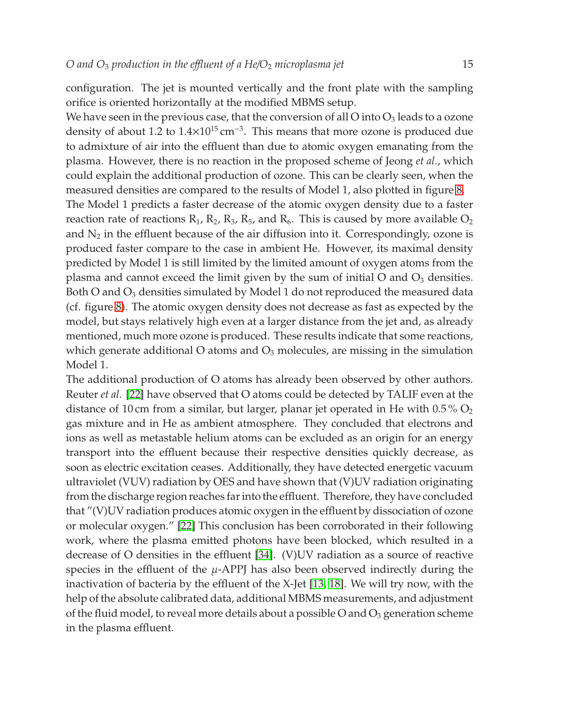configuration. The jet is mounted vertically and the front plate with the sampling orifice is oriented horizontally at the modified MBMS setup.

We have seen in the previous case, that the conversion of all O into  $O_3$  leads to a ozone density of about 1.2 to  $1.4 \times 10^{15}$  cm<sup>-3</sup>. This means that more ozone is produced due to admixture of air into the effluent than due to atomic oxygen emanating from the plasma. However, there is no reaction in the proposed scheme of Jeong *et al.*, which could explain the additional production of ozone. This can be clearly seen, when the measured densities are compared to the results of Model 1, also plotted in figure [8.](#page-13-0)

The Model 1 predicts a faster decrease of the atomic oxygen density due to a faster reaction rate of reactions  $R_1$ ,  $R_2$ ,  $R_3$ ,  $R_5$ , and  $R_6$ . This is caused by more available  $O_2$ and  $N_2$  in the effluent because of the air diffusion into it. Correspondingly, ozone is produced faster compare to the case in ambient He. However, its maximal density predicted by Model 1 is still limited by the limited amount of oxygen atoms from the plasma and cannot exceed the limit given by the sum of initial  $O$  and  $O_3$  densities. Both O and  $O_3$  densities simulated by Model 1 do not reproduced the measured data (cf. figure [8\)](#page-13-0). The atomic oxygen density does not decrease as fast as expected by the model, but stays relatively high even at a larger distance from the jet and, as already mentioned, much more ozone is produced. These results indicate that some reactions, which generate additional O atoms and  $O_3$  molecules, are missing in the simulation Model 1.

The additional production of O atoms has already been observed by other authors. Reuter *et al.* [\[22\]](#page-20-8) have observed that O atoms could be detected by TALIF even at the distance of 10 cm from a similar, but larger, planar jet operated in He with  $0.5\%$  O<sub>2</sub> gas mixture and in He as ambient atmosphere. They concluded that electrons and ions as well as metastable helium atoms can be excluded as an origin for an energy transport into the effluent because their respective densities quickly decrease, as soon as electric excitation ceases. Additionally, they have detected energetic vacuum ultraviolet (VUV) radiation by OES and have shown that (V)UV radiation originating from the discharge region reaches far into the effluent. Therefore, they have concluded that "(V)UV radiation produces atomic oxygen in the effluent by dissociation of ozone or molecular oxygen." [\[22\]](#page-20-8) This conclusion has been corroborated in their following work, where the plasma emitted photons have been blocked, which resulted in a decrease of O densities in the effluent [\[34\]](#page-20-20). (V)UV radiation as a source of reactive species in the effluent of the  $\mu$ -APPJ has also been observed indirectly during the inactivation of bacteria by the effluent of the X-Jet [\[13,](#page-19-12) [18\]](#page-20-4). We will try now, with the help of the absolute calibrated data, additional MBMS measurements, and adjustment of the fluid model, to reveal more details about a possible O and  $O_3$  generation scheme in the plasma effluent.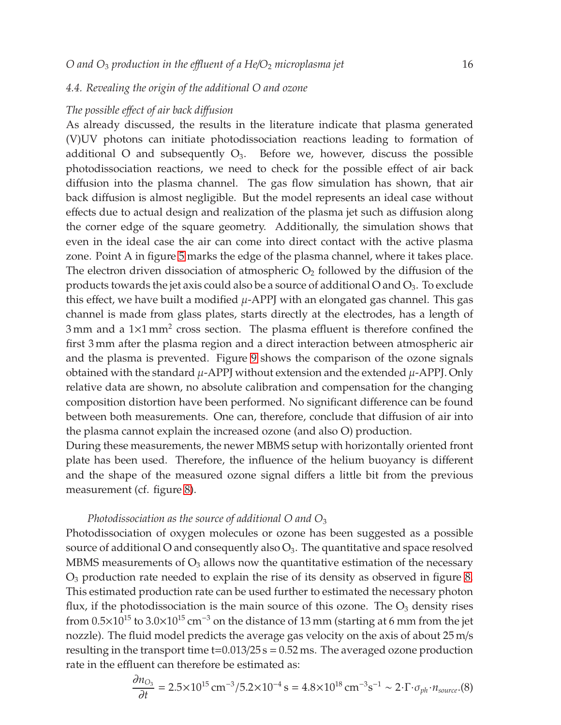## *4.4. Revealing the origin of the additional O and ozone*

#### *The possible e*ff*ect of air back di*ff*usion*

As already discussed, the results in the literature indicate that plasma generated (V)UV photons can initiate photodissociation reactions leading to formation of additional O and subsequently  $O_3$ . Before we, however, discuss the possible photodissociation reactions, we need to check for the possible effect of air back diffusion into the plasma channel. The gas flow simulation has shown, that air back diffusion is almost negligible. But the model represents an ideal case without effects due to actual design and realization of the plasma jet such as diffusion along the corner edge of the square geometry. Additionally, the simulation shows that even in the ideal case the air can come into direct contact with the active plasma zone. Point A in figure [5](#page-8-0) marks the edge of the plasma channel, where it takes place. The electron driven dissociation of atmospheric  $O_2$  followed by the diffusion of the products towards the jet axis could also be a source of additional O and  $O_3$ . To exclude this effect, we have built a modified  $\mu$ -APPJ with an elongated gas channel. This gas channel is made from glass plates, starts directly at the electrodes, has a length of  $3 \text{ mm}$  and a  $1 \times 1 \text{ mm}^2$  cross section. The plasma effluent is therefore confined the first 3 mm after the plasma region and a direct interaction between atmospheric air and the plasma is prevented. Figure [9](#page-16-0) shows the comparison of the ozone signals obtained with the standard  $\mu$ -APPJ without extension and the extended  $\mu$ -APPJ. Only relative data are shown, no absolute calibration and compensation for the changing composition distortion have been performed. No significant difference can be found between both measurements. One can, therefore, conclude that diffusion of air into the plasma cannot explain the increased ozone (and also O) production.

During these measurements, the newer MBMS setup with horizontally oriented front plate has been used. Therefore, the influence of the helium buoyancy is different and the shape of the measured ozone signal differs a little bit from the previous measurement (cf. figure [8\)](#page-13-0).

## *Photodissociation as the source of additional O and O*<sup>3</sup>

Photodissociation of oxygen molecules or ozone has been suggested as a possible source of additional O and consequently also  $O_3$ . The quantitative and space resolved MBMS measurements of  $O_3$  allows now the quantitative estimation of the necessary O<sup>3</sup> production rate needed to explain the rise of its density as observed in figure [8.](#page-13-0) This estimated production rate can be used further to estimated the necessary photon flux, if the photodissociation is the main source of this ozone. The  $O_3$  density rises from  $0.5\times10^{15}$  to  $3.0\times10^{15}$  cm<sup>-3</sup> on the distance of 13 mm (starting at 6 mm from the jet nozzle). The fluid model predicts the average gas velocity on the axis of about 25 m/s resulting in the transport time  $t=0.013/25 s = 0.52$  ms. The averaged ozone production rate in the effluent can therefore be estimated as:

<span id="page-15-0"></span>
$$
\frac{\partial n_{\text{O}_3}}{\partial t} = 2.5 \times 10^{15} \,\text{cm}^{-3} / 5.2 \times 10^{-4} \,\text{s} = 4.8 \times 10^{18} \,\text{cm}^{-3} \,\text{s}^{-1} \sim 2 \cdot \Gamma \cdot \sigma_{ph} \cdot n_{source} \cdot (8)
$$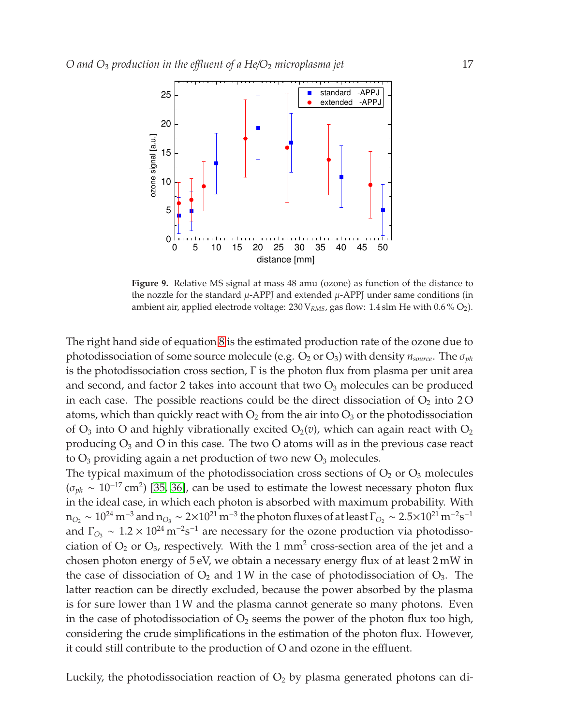

<span id="page-16-0"></span>**Figure 9.** Relative MS signal at mass 48 amu (ozone) as function of the distance to the nozzle for the standard  $\mu$ -APPJ and extended  $\mu$ -APPJ under same conditions (in ambient air, applied electrode voltage: 230 V<sub>RMS</sub>, gas flow: 1.4 slm He with 0.6 % O<sub>2</sub>).

The right hand side of equation [8](#page-15-0) is the estimated production rate of the ozone due to photodissociation of some source molecule (e.g. O<sup>2</sup> or O3) with density *nsource*. The σ*ph* is the photodissociation cross section,  $\Gamma$  is the photon flux from plasma per unit area and second, and factor 2 takes into account that two  $O_3$  molecules can be produced in each case. The possible reactions could be the direct dissociation of  $O<sub>2</sub>$  into 2 O atoms, which than quickly react with  $O_2$  from the air into  $O_3$  or the photodissociation of  $O_3$  into O and highly vibrationally excited  $O_2(v)$ , which can again react with  $O_2$ producing  $O_3$  and O in this case. The two O atoms will as in the previous case react to  $O_3$  providing again a net production of two new  $O_3$  molecules.

The typical maximum of the photodissociation cross sections of  $O_2$  or  $O_3$  molecules  $(\sigma_{ph} \sim 10^{-17} \text{ cm}^2)$  [\[35,](#page-21-0) [36\]](#page-21-1), can be used to estimate the lowest necessary photon flux in the ideal case, in which each photon is absorbed with maximum probability. With  $n_{O_2}\sim 10^{24}$  m<sup>−3</sup> and  $n_{O_3}\sim 2\times 10^{21}$  m<sup>−3</sup> the photon fluxes of at least  $\Gamma_{O_2}\sim 2.5\times 10^{21}$  m<sup>−2</sup>s<sup>−1</sup> and  $\Gamma_{\text{O}_3} \sim 1.2 \times 10^{24} \,\text{m}^{-2}\text{s}^{-1}$  are necessary for the ozone production via photodissociation of  $O_2$  or  $O_3$ , respectively. With the 1 mm<sup>2</sup> cross-section area of the jet and a chosen photon energy of 5 eV, we obtain a necessary energy flux of at least 2 mW in the case of dissociation of  $O_2$  and 1W in the case of photodissociation of  $O_3$ . The latter reaction can be directly excluded, because the power absorbed by the plasma is for sure lower than 1W and the plasma cannot generate so many photons. Even in the case of photodissociation of  $O_2$  seems the power of the photon flux too high, considering the crude simplifications in the estimation of the photon flux. However, it could still contribute to the production of O and ozone in the effluent.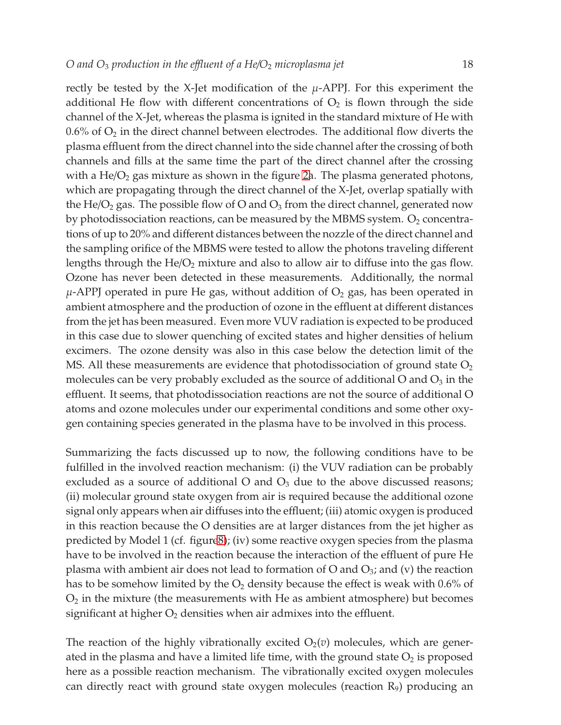rectly be tested by the X-Jet modification of the  $\mu$ -APPJ. For this experiment the additional He flow with different concentrations of  $O<sub>2</sub>$  is flown through the side channel of the X-Jet, whereas the plasma is ignited in the standard mixture of He with  $0.6\%$  of  $O_2$  in the direct channel between electrodes. The additional flow diverts the plasma effluent from the direct channel into the side channel after the crossing of both channels and fills at the same time the part of the direct channel after the crossing with a  $He/O<sub>2</sub>$  gas mixture as shown in the figure [2a](#page-3-0). The plasma generated photons, which are propagating through the direct channel of the X-Jet, overlap spatially with the He/O<sub>2</sub> gas. The possible flow of O and  $O_3$  from the direct channel, generated now by photodissociation reactions, can be measured by the MBMS system.  $O_2$  concentrations of up to 20% and different distances between the nozzle of the direct channel and the sampling orifice of the MBMS were tested to allow the photons traveling different lengths through the  $He/O<sub>2</sub>$  mixture and also to allow air to diffuse into the gas flow. Ozone has never been detected in these measurements. Additionally, the normal  $\mu$ -APPJ operated in pure He gas, without addition of  $O_2$  gas, has been operated in ambient atmosphere and the production of ozone in the effluent at different distances from the jet has been measured. Even more VUV radiation is expected to be produced in this case due to slower quenching of excited states and higher densities of helium excimers. The ozone density was also in this case below the detection limit of the MS. All these measurements are evidence that photodissociation of ground state  $O<sub>2</sub>$ molecules can be very probably excluded as the source of additional  $O$  and  $O_3$  in the effluent. It seems, that photodissociation reactions are not the source of additional O atoms and ozone molecules under our experimental conditions and some other oxygen containing species generated in the plasma have to be involved in this process.

Summarizing the facts discussed up to now, the following conditions have to be fulfilled in the involved reaction mechanism: (i) the VUV radiation can be probably excluded as a source of additional O and  $O_3$  due to the above discussed reasons; (ii) molecular ground state oxygen from air is required because the additional ozone signal only appears when air diffuses into the effluent; (iii) atomic oxygen is produced in this reaction because the O densities are at larger distances from the jet higher as predicted by Model 1 (cf. figur[e8\)](#page-13-0); (iv) some reactive oxygen species from the plasma have to be involved in the reaction because the interaction of the effluent of pure He plasma with ambient air does not lead to formation of O and  $O_3$ ; and (v) the reaction has to be somehow limited by the  $O_2$  density because the effect is weak with 0.6% of  $O<sub>2</sub>$  in the mixture (the measurements with He as ambient atmosphere) but becomes significant at higher  $O_2$  densities when air admixes into the effluent.

The reaction of the highly vibrationally excited  $O_2(v)$  molecules, which are generated in the plasma and have a limited life time, with the ground state  $O_2$  is proposed here as a possible reaction mechanism. The vibrationally excited oxygen molecules can directly react with ground state oxygen molecules (reaction  $R_9$ ) producing an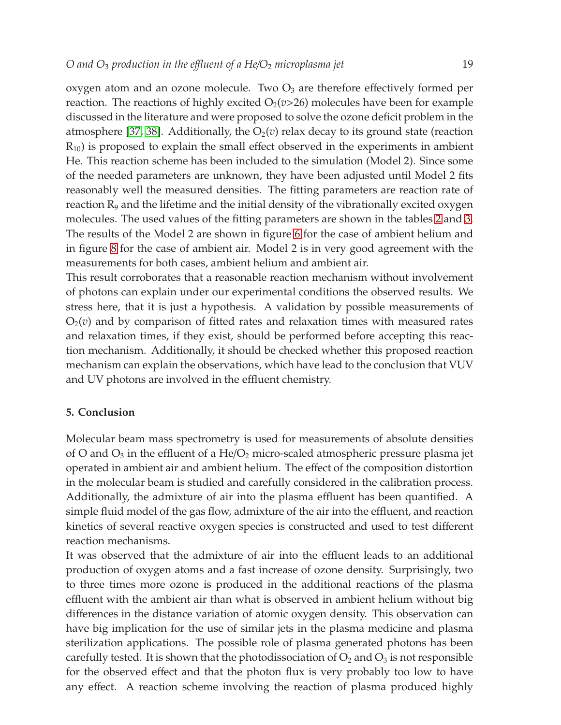oxygen atom and an ozone molecule. Two  $O_3$  are therefore effectively formed per reaction. The reactions of highly excited  $O_2(v>26)$  molecules have been for example discussed in the literature and were proposed to solve the ozone deficit problem in the atmosphere [\[37,](#page-21-2) [38\]](#page-21-3). Additionally, the  $O_2(v)$  relax decay to its ground state (reaction  $R_{10}$ ) is proposed to explain the small effect observed in the experiments in ambient He. This reaction scheme has been included to the simulation (Model 2). Since some of the needed parameters are unknown, they have been adjusted until Model 2 fits reasonably well the measured densities. The fitting parameters are reaction rate of reaction  $R<sub>9</sub>$  and the lifetime and the initial density of the vibrationally excited oxygen molecules. The used values of the fitting parameters are shown in the tables [2](#page-9-1) and [3.](#page-10-0) The results of the Model 2 are shown in figure [6](#page-11-0) for the case of ambient helium and in figure [8](#page-13-0) for the case of ambient air. Model 2 is in very good agreement with the measurements for both cases, ambient helium and ambient air.

This result corroborates that a reasonable reaction mechanism without involvement of photons can explain under our experimental conditions the observed results. We stress here, that it is just a hypothesis. A validation by possible measurements of  $O<sub>2</sub>(v)$  and by comparison of fitted rates and relaxation times with measured rates and relaxation times, if they exist, should be performed before accepting this reaction mechanism. Additionally, it should be checked whether this proposed reaction mechanism can explain the observations, which have lead to the conclusion that VUV and UV photons are involved in the effluent chemistry.

# **5. Conclusion**

Molecular beam mass spectrometry is used for measurements of absolute densities of O and  $O_3$  in the effluent of a He/ $O_2$  micro-scaled atmospheric pressure plasma jet operated in ambient air and ambient helium. The effect of the composition distortion in the molecular beam is studied and carefully considered in the calibration process. Additionally, the admixture of air into the plasma effluent has been quantified. A simple fluid model of the gas flow, admixture of the air into the effluent, and reaction kinetics of several reactive oxygen species is constructed and used to test different reaction mechanisms.

It was observed that the admixture of air into the effluent leads to an additional production of oxygen atoms and a fast increase of ozone density. Surprisingly, two to three times more ozone is produced in the additional reactions of the plasma effluent with the ambient air than what is observed in ambient helium without big differences in the distance variation of atomic oxygen density. This observation can have big implication for the use of similar jets in the plasma medicine and plasma sterilization applications. The possible role of plasma generated photons has been carefully tested. It is shown that the photodissociation of  $O_2$  and  $O_3$  is not responsible for the observed effect and that the photon flux is very probably too low to have any effect. A reaction scheme involving the reaction of plasma produced highly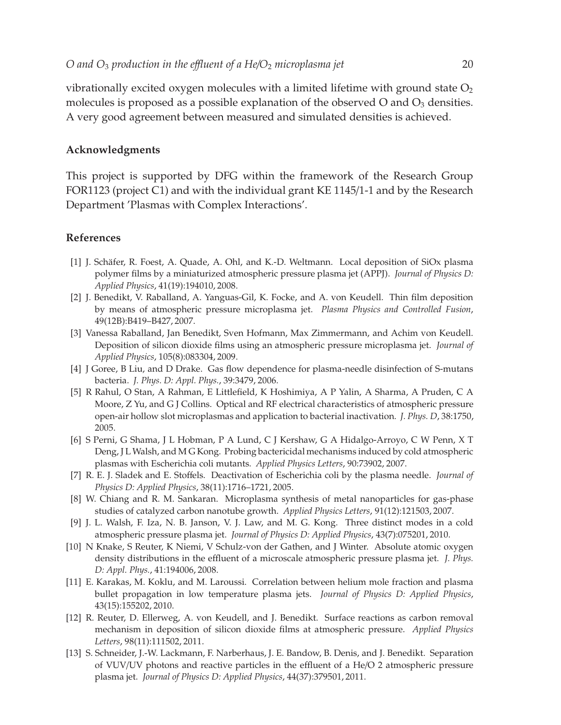vibrationally excited oxygen molecules with a limited lifetime with ground state  $O<sub>2</sub>$ molecules is proposed as a possible explanation of the observed  $O$  and  $O_3$  densities. A very good agreement between measured and simulated densities is achieved.

## **Acknowledgments**

This project is supported by DFG within the framework of the Research Group FOR1123 (project C1) and with the individual grant KE 1145/1-1 and by the Research Department 'Plasmas with Complex Interactions'.

## <span id="page-19-0"></span>**References**

- [1] J. Schäfer, R. Foest, A. Quade, A. Ohl, and K.-D. Weltmann. Local deposition of SiOx plasma polymer films by a miniaturized atmospheric pressure plasma jet (APPJ). *Journal of Physics D: Applied Physics*, 41(19):194010, 2008.
- <span id="page-19-1"></span>[2] J. Benedikt, V. Raballand, A. Yanguas-Gil, K. Focke, and A. von Keudell. Thin film deposition by means of atmospheric pressure microplasma jet. *Plasma Physics and Controlled Fusion*, 49(12B):B419–B427, 2007.
- <span id="page-19-2"></span>[3] Vanessa Raballand, Jan Benedikt, Sven Hofmann, Max Zimmermann, and Achim von Keudell. Deposition of silicon dioxide films using an atmospheric pressure microplasma jet. *Journal of Applied Physics*, 105(8):083304, 2009.
- <span id="page-19-3"></span>[4] J Goree, B Liu, and D Drake. Gas flow dependence for plasma-needle disinfection of S-mutans bacteria. *J. Phys. D: Appl. Phys.*, 39:3479, 2006.
- <span id="page-19-4"></span>[5] R Rahul, O Stan, A Rahman, E Littlefield, K Hoshimiya, A P Yalin, A Sharma, A Pruden, C A Moore, Z Yu, and G J Collins. Optical and RF electrical characteristics of atmospheric pressure open-air hollow slot microplasmas and application to bacterial inactivation. *J. Phys. D*, 38:1750, 2005.
- <span id="page-19-5"></span>[6] S Perni, G Shama, J L Hobman, P A Lund, C J Kershaw, G A Hidalgo-Arroyo, C W Penn, X T Deng, J L Walsh, and M G Kong. Probing bactericidal mechanisms induced by cold atmospheric plasmas with Escherichia coli mutants. *Applied Physics Letters*, 90:73902, 2007.
- <span id="page-19-6"></span>[7] R. E. J. Sladek and E. Stoffels. Deactivation of Escherichia coli by the plasma needle. *Journal of Physics D: Applied Physics*, 38(11):1716–1721, 2005.
- <span id="page-19-7"></span>[8] W. Chiang and R. M. Sankaran. Microplasma synthesis of metal nanoparticles for gas-phase studies of catalyzed carbon nanotube growth. *Applied Physics Letters*, 91(12):121503, 2007.
- <span id="page-19-8"></span>[9] J. L. Walsh, F. Iza, N. B. Janson, V. J. Law, and M. G. Kong. Three distinct modes in a cold atmospheric pressure plasma jet. *Journal of Physics D: Applied Physics*, 43(7):075201, 2010.
- <span id="page-19-9"></span>[10] N Knake, S Reuter, K Niemi, V Schulz-von der Gathen, and J Winter. Absolute atomic oxygen density distributions in the effluent of a microscale atmospheric pressure plasma jet. *J. Phys. D: Appl. Phys.*, 41:194006, 2008.
- <span id="page-19-10"></span>[11] E. Karakas, M. Koklu, and M. Laroussi. Correlation between helium mole fraction and plasma bullet propagation in low temperature plasma jets. *Journal of Physics D: Applied Physics*, 43(15):155202, 2010.
- <span id="page-19-11"></span>[12] R. Reuter, D. Ellerweg, A. von Keudell, and J. Benedikt. Surface reactions as carbon removal mechanism in deposition of silicon dioxide films at atmospheric pressure. *Applied Physics Letters*, 98(11):111502, 2011.
- <span id="page-19-12"></span>[13] S. Schneider, J.-W. Lackmann, F. Narberhaus, J. E. Bandow, B. Denis, and J. Benedikt. Separation of VUV/UV photons and reactive particles in the effluent of a He/O 2 atmospheric pressure plasma jet. *Journal of Physics D: Applied Physics*, 44(37):379501, 2011.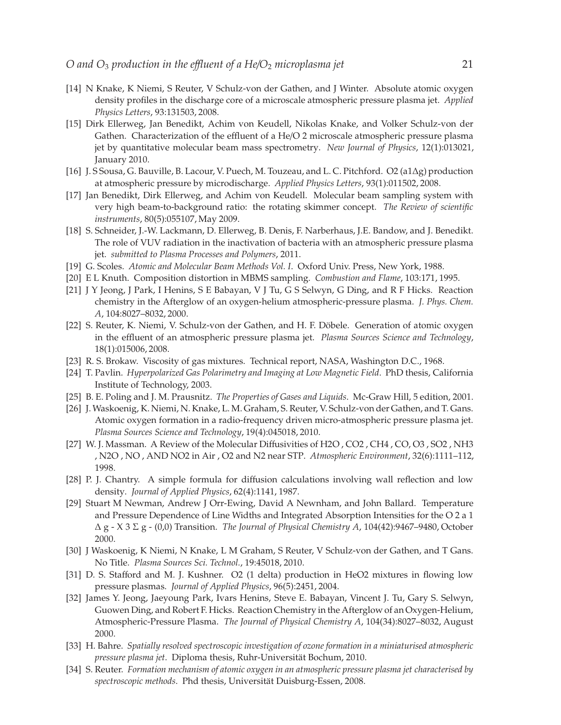- <span id="page-20-0"></span>[14] N Knake, K Niemi, S Reuter, V Schulz-von der Gathen, and J Winter. Absolute atomic oxygen density profiles in the discharge core of a microscale atmospheric pressure plasma jet. *Applied Physics Letters*, 93:131503, 2008.
- <span id="page-20-1"></span>[15] Dirk Ellerweg, Jan Benedikt, Achim von Keudell, Nikolas Knake, and Volker Schulz-von der Gathen. Characterization of the effluent of a He/O 2 microscale atmospheric pressure plasma jet by quantitative molecular beam mass spectrometry. *New Journal of Physics*, 12(1):013021, January 2010.
- <span id="page-20-3"></span><span id="page-20-2"></span>[16] J. S Sousa, G. Bauville, B. Lacour, V. Puech, M. Touzeau, and L. C. Pitchford. O2 (a1∆g) production at atmospheric pressure by microdischarge. *Applied Physics Letters*, 93(1):011502, 2008.
- [17] Jan Benedikt, Dirk Ellerweg, and Achim von Keudell. Molecular beam sampling system with very high beam-to-background ratio: the rotating skimmer concept. *The Review of scientific instruments*, 80(5):055107, May 2009.
- <span id="page-20-4"></span>[18] S. Schneider, J.-W. Lackmann, D. Ellerweg, B. Denis, F. Narberhaus, J.E. Bandow, and J. Benedikt. The role of VUV radiation in the inactivation of bacteria with an atmospheric pressure plasma jet. *submitted to Plasma Processes and Polymers*, 2011.
- <span id="page-20-6"></span><span id="page-20-5"></span>[19] G. Scoles. *Atomic and Molecular Beam Methods Vol. I*. Oxford Univ. Press, New York, 1988.
- <span id="page-20-7"></span>[20] E L Knuth. Composition distortion in MBMS sampling. *Combustion and Flame*, 103:171, 1995.
- [21] J Y Jeong, J Park, I Henins, S E Babayan, V J Tu, G S Selwyn, G Ding, and R F Hicks. Reaction chemistry in the Afterglow of an oxygen-helium atmospheric-pressure plasma. *J. Phys. Chem. A*, 104:8027–8032, 2000.
- <span id="page-20-8"></span>[22] S. Reuter, K. Niemi, V. Schulz-von der Gathen, and H. F. Döbele. Generation of atomic oxygen in the effluent of an atmospheric pressure plasma jet. *Plasma Sources Science and Technology*, 18(1):015006, 2008.
- <span id="page-20-10"></span><span id="page-20-9"></span>[23] R. S. Brokaw. Viscosity of gas mixtures. Technical report, NASA, Washington D.C., 1968.
- [24] T. Pavlin. *Hyperpolarized Gas Polarimetry and Imaging at Low Magnetic Field*. PhD thesis, California Institute of Technology, 2003.
- <span id="page-20-12"></span><span id="page-20-11"></span>[25] B. E. Poling and J. M. Prausnitz. *The Properties of Gases and Liquids*. Mc-Graw Hill, 5 edition, 2001.
- [26] J.Waskoenig, K. Niemi, N. Knake, L. M. Graham, S. Reuter, V. Schulz-von der Gathen, and T. Gans. Atomic oxygen formation in a radio-frequency driven micro-atmospheric pressure plasma jet. *Plasma Sources Science and Technology*, 19(4):045018, 2010.
- <span id="page-20-13"></span>[27] W. J. Massman. A Review of the Molecular Diffusivities of H2O , CO2 , CH4 , CO, O3 , SO2 , NH3 , N2O , NO , AND NO2 in Air , O2 and N2 near STP. *Atmospheric Environment*, 32(6):1111–112, 1998.
- <span id="page-20-16"></span>[28] P. J. Chantry. A simple formula for diffusion calculations involving wall reflection and low density. *Journal of Applied Physics*, 62(4):1141, 1987.
- <span id="page-20-17"></span>[29] Stuart M Newman, Andrew J Orr-Ewing, David A Newnham, and John Ballard. Temperature and Pressure Dependence of Line Widths and Integrated Absorption Intensities for the O 2 a 1 ∆ g - X 3 Σ g - (0,0) Transition. *The Journal of Physical Chemistry A*, 104(42):9467–9480, October 2000.
- <span id="page-20-18"></span>[30] J Waskoenig, K Niemi, N Knake, L M Graham, S Reuter, V Schulz-von der Gathen, and T Gans. No Title. *Plasma Sources Sci. Technol.*, 19:45018, 2010.
- <span id="page-20-14"></span>[31] D. S. Stafford and M. J. Kushner. O2 (1 delta) production in HeO2 mixtures in flowing low pressure plasmas. *Journal of Applied Physics*, 96(5):2451, 2004.
- <span id="page-20-15"></span>[32] James Y. Jeong, Jaeyoung Park, Ivars Henins, Steve E. Babayan, Vincent J. Tu, Gary S. Selwyn, Guowen Ding, and Robert F. Hicks. Reaction Chemistry in the Afterglow of an Oxygen-Helium, Atmospheric-Pressure Plasma. *The Journal of Physical Chemistry A*, 104(34):8027–8032, August 2000.
- <span id="page-20-19"></span>[33] H. Bahre. *Spatially resolved spectroscopic investigation of ozone formation in a miniaturised atmospheric* pressure plasma jet. Diploma thesis, Ruhr-Universität Bochum, 2010.
- <span id="page-20-20"></span>[34] S. Reuter. *Formation mechanism of atomic oxygen in an atmospheric pressure plasma jet characterised by* spectroscopic methods. Phd thesis, Universität Duisburg-Essen, 2008.